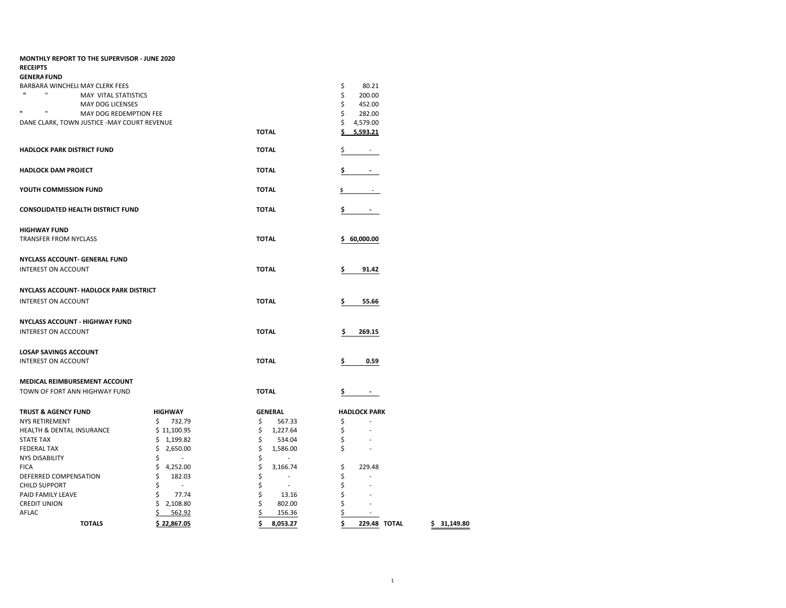| <b>MONTHLY REPORT TO THE SUPERVISOR - JUNE 2020</b>             |                                |                |                                |
|-----------------------------------------------------------------|--------------------------------|----------------|--------------------------------|
| <b>RECEIPTS</b>                                                 |                                |                |                                |
| <b>GENERA FUND</b>                                              |                                |                |                                |
| BARBARA WINCHELI MAY CLERK FEES<br>$\mathbf{u}$<br>$\mathbf{H}$ |                                |                | \$<br>80.21                    |
| MAY VITAL STATISTICS                                            |                                |                | \$<br>200.00                   |
| MAY DOG LICENSES<br>$\mathbf{u}$<br>$\mathbf{u}$                |                                |                | \$<br>452.00                   |
| MAY DOG REDEMPTION FEE                                          |                                |                | \$<br>282.00                   |
| DANE CLARK, TOWN JUSTICE - MAY COURT REVENUE                    |                                |                | \$<br>4,579.00                 |
|                                                                 |                                | <b>TOTAL</b>   | Ś<br>5.593.21                  |
| <b>HADLOCK PARK DISTRICT FUND</b>                               |                                | <b>TOTAL</b>   | Ş<br>٠                         |
| <b>HADLOCK DAM PROJECT</b>                                      |                                | <b>TOTAL</b>   | \$                             |
| YOUTH COMMISSION FUND                                           |                                | <b>TOTAL</b>   | \$.                            |
| <b>CONSOLIDATED HEALTH DISTRICT FUND</b>                        |                                | <b>TOTAL</b>   | \$<br>$\overline{\phantom{a}}$ |
| <b>HIGHWAY FUND</b>                                             |                                |                |                                |
| TRANSFER FROM NYCLASS                                           |                                | <b>TOTAL</b>   | \$60,000.00                    |
|                                                                 |                                |                |                                |
| NYCLASS ACCOUNT- GENERAL FUND                                   |                                |                |                                |
| INTEREST ON ACCOUNT                                             |                                | <b>TOTAL</b>   | \$<br>91.42                    |
| NYCLASS ACCOUNT- HADLOCK PARK DISTRICT                          |                                |                |                                |
| <b>INTEREST ON ACCOUNT</b>                                      |                                | <b>TOTAL</b>   | \$<br>55.66                    |
| <b>NYCLASS ACCOUNT - HIGHWAY FUND</b>                           |                                |                |                                |
| <b>INTEREST ON ACCOUNT</b>                                      |                                | <b>TOTAL</b>   | \$<br>269.15                   |
|                                                                 |                                |                |                                |
| <b>LOSAP SAVINGS ACCOUNT</b>                                    |                                |                |                                |
| <b>INTEREST ON ACCOUNT</b>                                      |                                | <b>TOTAL</b>   | \$<br>0.59                     |
|                                                                 |                                |                |                                |
| MEDICAL REIMBURSEMENT ACCOUNT                                   |                                |                |                                |
| TOWN OF FORT ANN HIGHWAY FUND                                   |                                | <b>TOTAL</b>   | \$                             |
| <b>TRUST &amp; AGENCY FUND</b>                                  | <b>HIGHWAY</b>                 | <b>GENERAL</b> | <b>HADLOCK PARK</b>            |
| NYS RETIREMENT                                                  | \$<br>732.79                   | \$<br>567.33   | \$                             |
| HEALTH & DENTAL INSURANCE                                       | \$11,100.95                    | \$<br>1,227.64 | \$                             |
| <b>STATE TAX</b>                                                | \$<br>1,199.82                 | \$<br>534.04   | \$                             |
| <b>FEDERAL TAX</b>                                              | \$<br>2,650.00                 | \$<br>1,586.00 | \$                             |
| <b>NYS DISABILITY</b>                                           | \$<br>$\overline{\phantom{a}}$ | \$<br>$\sim$   |                                |
| <b>FICA</b>                                                     | \$<br>4,252.00                 | \$<br>3,166.74 | \$<br>229.48                   |
| DEFERRED COMPENSATION                                           | \$<br>182.03                   | \$<br>$\sim$   | \$                             |
| <b>CHILD SUPPORT</b>                                            | \$<br>$\sim$                   | \$<br>$\sim$   | \$                             |
| PAID FAMILY LEAVE                                               | \$<br>77.74                    | \$<br>13.16    | \$                             |
| <b>CREDIT UNION</b>                                             | \$<br>2,108.80                 | \$<br>802.00   | \$                             |
| AFLAC                                                           | Ś<br>562.92                    | \$<br>156.36   | \$                             |
| <b>TOTALS</b>                                                   | \$22,867.05                    | \$<br>8,053.27 | \$<br>229.48 TOTAL             |

**TOTALS \$ 22,867.05 \$ 8,053.27 \$ 229.48 TOTAL \$ 31,149.80**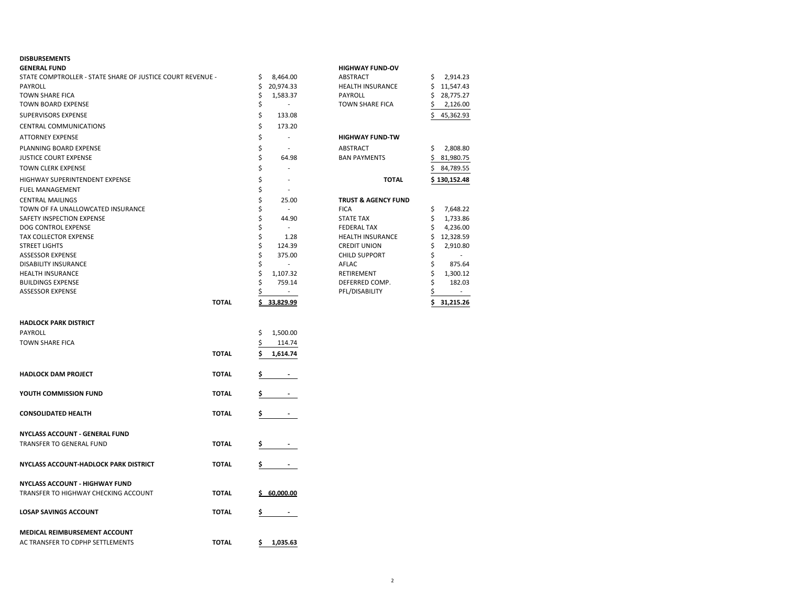# **DISBURSEMENTS**

| <b>GENERAL FUND</b>                                        |              |                                | <b>HIGHWAY FUND-OV</b>         |                  |
|------------------------------------------------------------|--------------|--------------------------------|--------------------------------|------------------|
| STATE COMPTROLLER - STATE SHARE OF JUSTICE COURT REVENUE - |              | \$<br>8,464.00                 | ABSTRACT                       | \$<br>2,914.23   |
| PAYROLL                                                    |              | \$<br>20,974.33                | HEALTH INSURANCE               | \$.<br>11,547.43 |
| <b>TOWN SHARE FICA</b>                                     |              | \$<br>1,583.37                 | <b>PAYROLL</b>                 | 28,775.27<br>S   |
| <b>TOWN BOARD EXPENSE</b>                                  |              | \$<br>$\overline{\phantom{a}}$ | <b>TOWN SHARE FICA</b>         | 2,126.00<br>S    |
| SUPERVISORS EXPENSE                                        |              | \$<br>133.08                   |                                | Ś<br>45,362.93   |
| CENTRAL COMMUNICATIONS                                     |              | \$<br>173.20                   |                                |                  |
| <b>ATTORNEY EXPENSE</b>                                    |              | \$<br>$\sim$                   | <b>HIGHWAY FUND-TW</b>         |                  |
| PLANNING BOARD EXPENSE                                     |              | \$<br>$\overline{\phantom{a}}$ | ABSTRACT                       | 2,808.80<br>\$   |
| <b>JUSTICE COURT EXPENSE</b>                               |              | \$<br>64.98                    | <b>BAN PAYMENTS</b>            | 81,980.75<br>S   |
| <b>TOWN CLERK EXPENSE</b>                                  |              | \$<br>L,                       |                                | 84,789.55<br>Ś   |
| HIGHWAY SUPERINTENDENT EXPENSE                             |              | \$<br>$\overline{a}$           | <b>TOTAL</b>                   | \$130,152.48     |
| <b>FUEL MANAGEMENT</b>                                     |              | \$<br>÷,                       |                                |                  |
| <b>CENTRAL MAILINGS</b>                                    |              | \$<br>25.00                    | <b>TRUST &amp; AGENCY FUND</b> |                  |
| TOWN OF FA UNALLOWCATED INSURANCE                          |              | \$<br>$\sim$                   | <b>FICA</b>                    | \$<br>7,648.22   |
| SAFETY INSPECTION EXPENSE                                  |              | \$<br>44.90                    | <b>STATE TAX</b>               | \$<br>1,733.86   |
| DOG CONTROL EXPENSE                                        |              | \$                             | <b>FEDERAL TAX</b>             | Ś<br>4,236.00    |
| TAX COLLECTOR EXPENSE                                      |              | \$<br>1.28                     | <b>HEALTH INSURANCE</b>        | \$<br>12,328.59  |
| <b>STREET LIGHTS</b>                                       |              | \$<br>124.39                   | <b>CREDIT UNION</b>            | 2,910.80<br>\$   |
| <b>ASSESSOR EXPENSE</b>                                    |              | \$<br>375.00                   | <b>CHILD SUPPORT</b>           | \$               |
| <b>DISABILITY INSURANCE</b>                                |              | \$<br>$\sim$                   | AFLAC                          | Ś<br>875.64      |
| <b>HEALTH INSURANCE</b>                                    |              | \$<br>1,107.32                 | RETIREMENT                     | Ś<br>1,300.12    |
| <b>BUILDINGS EXPENSE</b>                                   |              | \$<br>759.14                   | DEFERRED COMP.                 | \$<br>182.03     |
| ASSESSOR EXPENSE                                           |              | Ś                              | PFL/DISABILITY                 |                  |
|                                                            | <b>TOTAL</b> | 33.829.99                      |                                | 31,215.26<br>Ś   |
| <b>HADLOCK PARK DISTRICT</b>                               |              |                                |                                |                  |
|                                                            |              |                                |                                |                  |
| PAYROLL                                                    |              | \$<br>1,500.00                 |                                |                  |
| <b>TOWN SHARE FICA</b>                                     |              | \$<br>114.74                   |                                |                  |
|                                                            | <b>TOTAL</b> | 1,614.74<br>s                  |                                |                  |
| <b>HADLOCK DAM PROJECT</b>                                 | <b>TOTAL</b> | \$<br>$\sim$                   |                                |                  |
|                                                            |              |                                |                                |                  |
| YOUTH COMMISSION FUND                                      | <b>TOTAL</b> | Ş                              |                                |                  |
|                                                            |              |                                |                                |                  |
| <b>CONSOLIDATED HEALTH</b>                                 | <b>TOTAL</b> | \$                             |                                |                  |
| NYCLASS ACCOUNT - GENERAL FUND                             |              |                                |                                |                  |
|                                                            |              |                                |                                |                  |
| TRANSFER TO GENERAL FUND                                   | <b>TOTAL</b> | Ş                              |                                |                  |
| NYCLASS ACCOUNT-HADLOCK PARK DISTRICT                      | <b>TOTAL</b> | \$                             |                                |                  |
|                                                            |              |                                |                                |                  |
| <b>NYCLASS ACCOUNT - HIGHWAY FUND</b>                      |              |                                |                                |                  |
| TRANSFER TO HIGHWAY CHECKING ACCOUNT                       | <b>TOTAL</b> | <u>\$60.000.00</u>             |                                |                  |
|                                                            |              |                                |                                |                  |
| <b>LOSAP SAVINGS ACCOUNT</b>                               | <b>TOTAL</b> | Ş                              |                                |                  |
|                                                            |              |                                |                                |                  |
| MEDICAL REIMBURSEMENT ACCOUNT                              |              |                                |                                |                  |
| AC TRANSFER TO CDPHP SETTLEMENTS                           | <b>TOTAL</b> | \$<br>1,035.63                 |                                |                  |